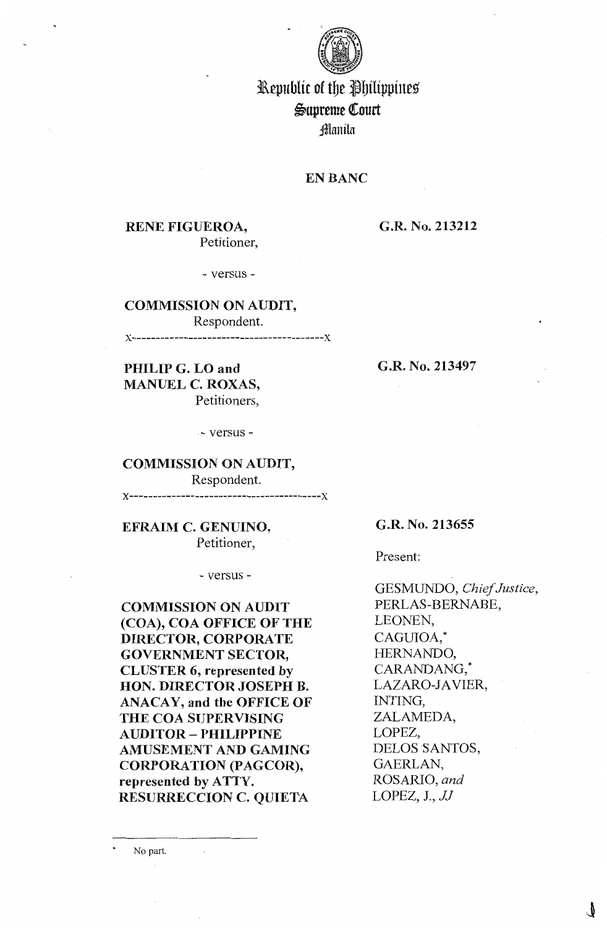

# Republic of the Philippines ~upreme QCourt ;!Manila

# **EN BANC**

# **RENE FIGUEROA,**  Petitioner,

## **G.R. No. 213212**

- versus -

**COMMISSION ON AUDIT,**  Respondent. **x-----------------------------------------x** 

**PHILIP G. LO and MANUEL C. ROXAS,**  Petitioners,

. - versus -

# **COMMISSION ON AUDIT,**

Respondent.

**x-----------------------------------------x** 

**EFRAIM C. GENUINO,**  Petitioner,

- versus -

**COMMISSION ON AUDIT (COA), COA OFFICE OF THE DIRECTOR, CORPORATE GOVERNMENT SECTOR, CLUSTER 6, represented by HON. DIRECTOR JOSEPH B. ANACAY, and the OFFICE OF THE COA SUPERVISING AUDITOR** - **PHILIPPINE AMUSEMENT AND GAMING CORPORATION (PAGCOR), represented by ATTY. RESURRECCION C. QUIETA** 

 $\bar{\bar{z}}$ 

No part.

**G.R. No. 213497** 

**G.R. No. 213655** 

Present:

GESMUNDO, *Chief Justice,*  PERLAS-BERNABE, LEONEN, CAGUIOA,\* HERNANDO, CARANDANG,\* LAZARO-JAVIER, INTING, ZALAMEDA, LOPEZ, DELOS SANTOS, GAERLAN, ROSARIO, *and*  LOPEZ, J., *JJ*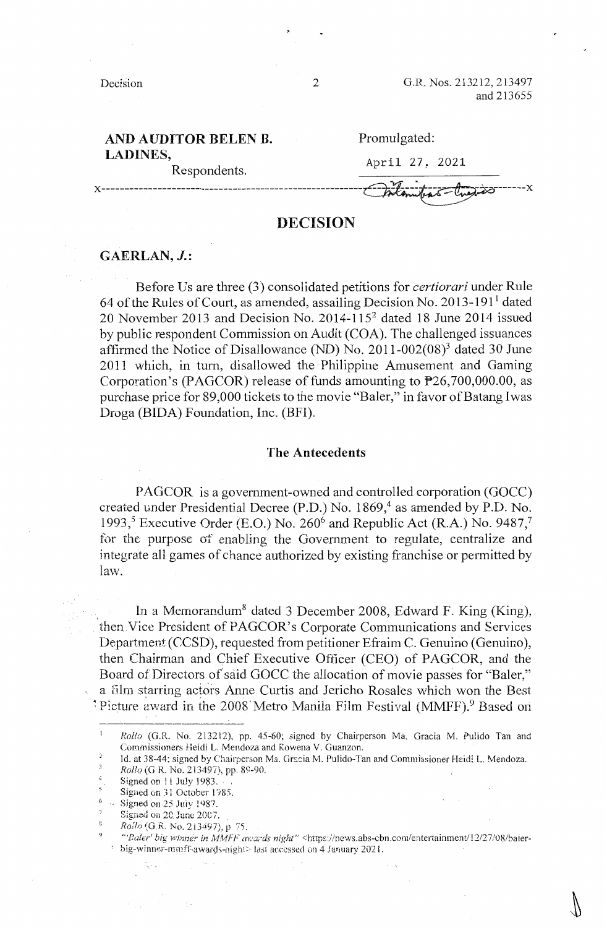Decision 2 G.R. Nos. 213212, 213497 and 213655

# **AND AUDITOR BELEN B. LADINES,**

Respondents.

## Promulgated:

April 27, 2021

**x--------------------------------------------------------**

# **DECISION**

# **GAERLAN, J.:**

Before Us are three (3) consolidated petitions for *certiorari* under Rule 64 of the Rules of Court, as amended, assailing Decision No. 2013-191<sup>1</sup> dated 20 November 2013 and Decision No. 2014-115<sup>2</sup> dated 18 June 2014 issued by public respondent Commission on Audit (COA). The challenged issuances affirmed the Notice of Disallowance (ND) No.  $2011-002(08)^3$  dated 30 June 2011 which, in turn, disallowed the Philippine Amusement and Gaming Corporation's (PAGCOR) release of funds amounting to P26,700,000.00, as purchase price for 89,000 tickets to the movie "Baler," in favor of Batang Iwas Droga (BIDA) Foundation, Inc. (BFI).

### **The Antecedents**

PAGCOR is a government-owned and controlled corporation (GOCC) created under Presidential Decree (P.D.) No. 1869,<sup>4</sup> as amended by P.D. No. 1993,<sup>5</sup> Executive Order (E.O.) No. 260<sup>6</sup> and Republic Act (R.A.) No. 9487,<sup>7</sup> for the purpose of enabling the Government to regulate, centralize and integrate all games of chance authorized by existing franchise or permitted by law.

In a Memorandum<sup>8</sup> dated 3 December 2008, Edward F. King (King), then Vice President of PAGCOR's Corporate Communications and Services Department (CCSD), requested from petitioner Efraim C. Genuino (Genuino ), then Chairman and Chief Executive Officer (CEO) of PAGCOR, and the Board of Directors of said GOCC the allocation of movie passes for "Baler," a film starring actors Anne Curtis and Jericho Rosales which won the Best <sup>\*</sup>Picture award in the 2008 Metro Manila Film Festival (MMFF).<sup>9</sup> Based on

9

Rollo (G.R. No. 213497), p 75.

*Rollo* (G.R. No. 213212), pp. 45-60; signed by Chairperson Ma. Gracia M. Pulido Tan and Commissioners Heidi L Mendoza and Rowena V. Guanzon.

Id. at 38-44; signed by Chairperson Ma. Gracia M. Pulido-Tan and Commissioner Heidi L. Mendoza.

Rollo (G R. No. 213497), pp. 89-90.

Signed on 11 July 1983.

Signed on:31 October 1985.

<sup>(,</sup>   $\therefore$  Signed on 25 July 1987.

Signed on 20 June 2007.

<sup>&</sup>quot;'Baler' big winner in MMFF awards night" <https://news.abs-cbn.com/entertainment/12/27/08/balerbig-winner-mmff-awards-night> last accessed on 4 January 2021.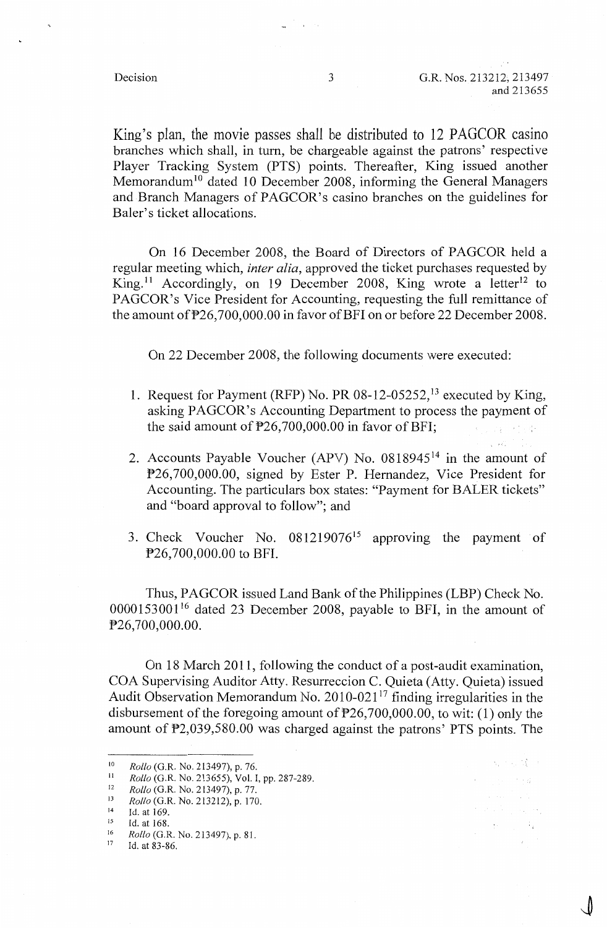医原子宫 健康  $\epsilon$  , where  $\epsilon$ 

Report Follows  $\mathbf{H}^{\text{max}}$  ,  $\mathbf{H}^{\text{max}}$ 

 $\mathcal{L}_{\mathcal{F}}$  and

King's plan, the movie passes shall be distributed to 12 PAGCOR casino branches which shall, in tum, be chargeable against the patrons' respective Player Tracking System (PTS) points. Thereafter, King issued another Memorandum<sup>10</sup> dated 10 December 2008, informing the General Managers and Branch Managers of PAGCOR's casino branches on the guidelines for Baler's ticket allocations.

On 16 December 2008, the Board of Directors of PAGCOR held a regular meeting which, *inter alia,* approved the ticket purchases requested by King.<sup>11</sup> Accordingly, on 19 December 2008, King wrote a letter<sup>12</sup> to PAGCOR's Vice President for Accounting, requesting the full remittance of the amount of  $P26,700,000.00$  in favor of BFI on or before 22 December 2008.

On 22 December 2008, the following documents were executed:

- 1. Request for Payment (RFP) No. PR 08-12-05252, 13 executed by King, asking PAGCOR's Accounting Department to process the payment of the said amount of  $P26,700,000.00$  in favor of BFI; ya Su
- 2. Accounts Payable Voucher (APV) No. 0818945<sup>14</sup> in the amount of P26, 700,000.00, signed by Ester P. Hernandez, Vice President for Accounting. The particulars box states: "Payment for BALER tickets" and "board approval to follow"; and
- 3. Check Voucher No.  $081219076^{15}$  approving the payment of P26, 700,000.00 to BFI.

Thus, PAGCOR issued Land Bank of the Philippines (LBP) Check No. 0000153001 16 dated 23 December 2008, payable to BFI, in the amount of P26,700,000.00.

On 18 March 2011, following the conduct of a post-audit examination, COA Supervising Auditor Atty. Resurreccion C. Quieta (Atty. Quieta) issued Audit Observation Memorandum No.  $2010-021^{17}$  finding irregularities in the disbursement of the foregoing amount of  $P26,700,000.00$ , to wit: (1) only the amount of P2,039,580.00 was charged against the patrons' PTS points. The

<sup>10&</sup>lt;br>
10<br> *Rollo* (G.R. No. 213497), p. 76.<br>
12<br> *Rollo* (G.R. No. 213497), p. 77.<br>
13<br> *Rollo* (G.R. No. 213212), p. 170.<br>
14 Id. at 169.<br>
15 Id. at 168.<br>
16 *Rollo* (G.B. No. 213497), p. 81

<sup>16</sup> *Rollo* (G.R. No. 213497), p. 81. 17 Id. at 83-86.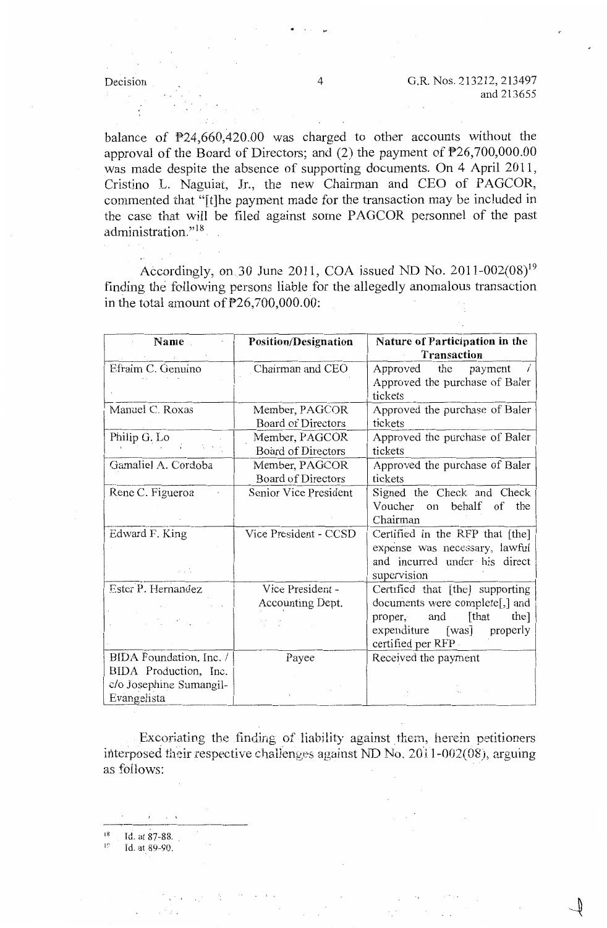balance of  $P24,660,420.00$  was charged to other accounts without the approval of the Board of Directors; and (2) the payment of  $P26, 700, 000.00$ was made despite the absence of supporting documents. On 4 April 2011, Cristino L. Naguiat, Jr., the new Chairman and CEO of PAGCOR, commented that "[t]he payment made for the transaction may be included in the case that will be filed against some PAGCOR personnel of the past administration."<sup>18</sup>

Accordingly, on 30 June 2011, COA issued ND No. 2011-002(08)<sup>19</sup> finding the following persons liable for the allegedly anomalous transaction in the total amount of P26,700,000.00:

| Name                    | <b>Position/Designation</b> | Nature of Participation in the<br>Transaction                |
|-------------------------|-----------------------------|--------------------------------------------------------------|
| Efraim C. Genuino       | Chairman and CEO            | Approved<br>the<br>payment<br>Approved the purchase of Baler |
|                         |                             | tickets                                                      |
| Manuel C. Roxas         | Member, PAGCOR              | Approved the purchase of Baler                               |
|                         | Board of Directors          | tickets                                                      |
| Philip G. Lo            | Member, PAGCOR              | Approved the purchase of Baler                               |
|                         | Board of Directors          | tickets                                                      |
| Gamaliel A. Cordoba     | Member, PAGCOR              | Approved the purchase of Baler                               |
|                         | Board of Directors          | tickets                                                      |
| Rene C. Figueroa        | Senior Vice President       | Signed the Check and Check                                   |
|                         |                             | Voucher on behalf of<br>the                                  |
|                         |                             | Chairman                                                     |
| Edward F. King          | Vice President - CCSD       | Certified in the RFP that [the]                              |
|                         |                             | expense was necessary, lawful                                |
|                         |                             | and incurred under his direct                                |
|                         |                             | supervision                                                  |
| Ester P. Hernandez      | Vice President -            | Certified that [the] supporting                              |
|                         | Accounting Dept.            | documents were complete[,] and                               |
|                         |                             | [that<br>the]<br>and<br>proper,                              |
|                         |                             | expenditure [was] properly                                   |
|                         |                             | certified per RFP                                            |
| BIDA Foundation, Inc. / | Payee                       | Received the payment                                         |
| BIDA Production, Inc.   |                             |                                                              |
| c/o Josephine Sumangil- |                             |                                                              |
| Evangelista             |                             |                                                              |

Excoriating the finding of liability against them, herein petitioners interposed their respective challenges against ND No.  $2011$ -002(08), arguing as follows:

 $\overline{1}$ Id. at 87-88.

 $\mathbf{I}^{\prime}$ Id. at 89-90.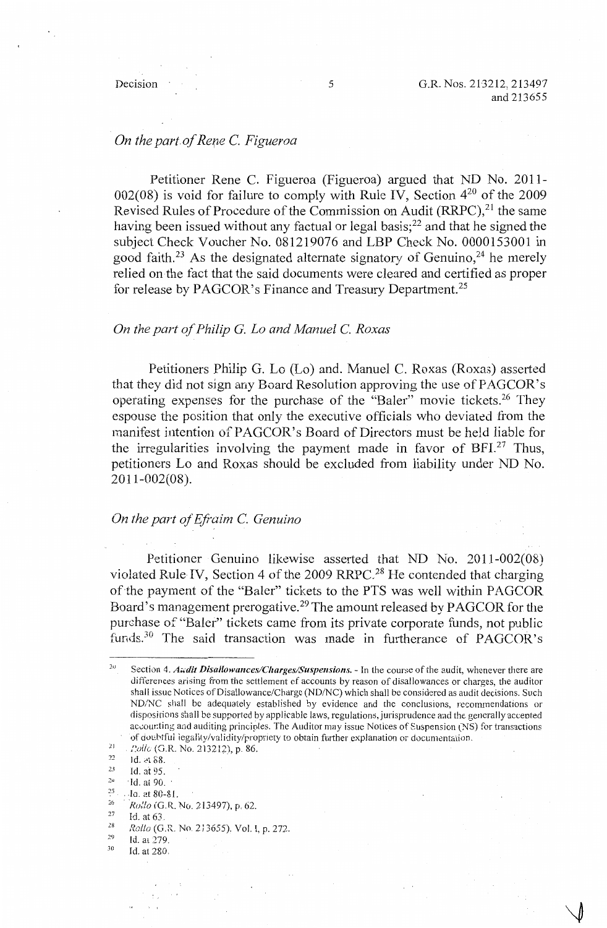# *On the part.of Rere* C. *Figueroa*

Petitioner Rene C. Figueroa (Figueroa) argued that ND No. 2011- 002(08) is void for failure to comply with Rule IV. Section  $4^{20}$  of the 2009 Revised Rules of Procedure of the Commission on Audit (RRPC).<sup>21</sup> the same having been issued without any factual or legal basis;<sup>22</sup> and that he signed the subject Check Voucher No. 081219076 and LBP Check No. 0000153001 in good faith.<sup>23</sup> As the designated alternate signatory of Genuino,<sup>24</sup> he merely relied on the fact that the said documents were cleared and certified as proper for release by PAGCOR's Finance and Treasury Department.<sup>25</sup>

# *On the part of Philip G. Lo and Manuel* C. *Roxas*

Petitioners Philip G. Lo (Lo) and. Manuel C. Roxas (Roxas) asserted that they did not sign any Board Resolution approving the use of PAGCOR's operating expenses for the purchase of the "Baler" movie tickets.<sup>26</sup> They espouse the position that only the executive officials who deviated from the manifest intention of PAGCOR's Board of Directors must be held liable for the irregularities involving the payment made in favor of  $BFI^{27}$  Thus, petitioners Lo and Roxas should be excluded from liability under ND No. 2011-002(08).

## *On the part of Efraim C. Genuino*

Petitioner Genuino likewise asserted that ND No. 2011-002(08) violated Rule IV, Section 4 of the 2009 RRPC.<sup>28</sup> He contended that charging of the payment of the "Baler" tickets to the PTS was well within PAGCOR Board's management prerogative.29 The amount released by PAGCOR for the purchase of "Baler" tickets came from its private corporate funds, not public funds.<sup>30</sup> The said transaction was made in furtherance of PAGCOR's

- 2.l Id.at 95.
- $^{24}$  ·Id. at 90.<br> $^{25}$  · Iq. at 80.8
- *<sup>25</sup>*. **. Ja. at 80-81.**

Id. at 63.

 $\mathcal{L}_{\mathcal{A}}$ 

30 Id. at 280.

 $20$ Section 4. *Andit Disallowances/Charges/Suspensions.* - In the course of the audit, whenever there are differences arising from the settlement of accounts by reason of disallowances or charges, the auditor shall issue Notices of Disallowance/Charge (ND/NC) which shall be considered as audit decisions. Such ND/NC shall be adequately established by evidence and the conclusions, recommendations or dispositions shall be supported by applicable laws, regulations, jurisprudence and the generally accepted acc:our.ting and auditing principles. The Auditor may issue Notices of Suspension (NS) for transactions of doubtful iegality/validity/propriety to obtain further explanation or documentation.

<sup>21</sup> *f?oi/e,* (G.R. No. 213212), p. 86.

 $22$ Id. ct 88.

 $\frac{26}{27}$  *Rollo* (G.R. No. 213497), p. 62.

<sup>28</sup>  *Rollo* (G.R. No. 2i 3655). Vol. I, p. 272.

<sup>29</sup>  Id. at 279.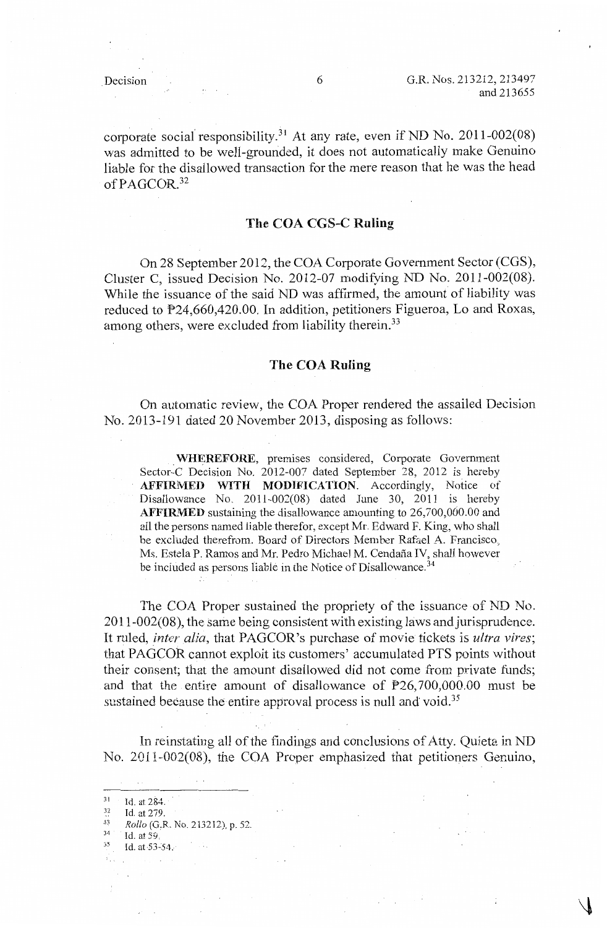Decision 6 G.R. Nos. 213212, 213497 and 213655

### **The COA CGS-C Ruling**

On 28 September 2012, the COA Corporate Government Sector (CGS), Cluster C, issued Decision No. 2012-07 modifying ND No. 2011-002(08). While the issuance of the said ND was affirmed, the amount of liability was reduced to P24,660,420.00. In addition, petitioners Figueroa, Lo and Roxas, among others, were excluded from liability therein.<sup>33</sup>

### **The COA Ruling**

On automatic review, the COA Proper rendered the assailed Decision No. 2013-191 dated 20 November 2013, disposing as follows:

. **WHEREFORE,** premises considered, Corporate Government Sector-C Decision No. 2012-007 dated September 28, 2012 is hereby AFFIRMED WITH MODIFICATION. Accordingly, Notice of Disallowance No. 2011-002(08) dated June 30, 2011 is hereby **AFFIRMED** sustaining the disallowance amounting to 26,700,000.00 and all the persons named liable therefor, except Mr. Edward F. King, who shall be excluded therefrom. Board of Directors Member Rafael A. Francisco, Ms. Estela P. Ramos and Mr. Pedro Michael M. Cendana IV, shall however be included as persons liable in the Notice of Disallowance.<sup>34</sup>

The COA Proper sustained the propriety of the issuance of ND No. 2011-002(08), the same being consistent with existing laws and jurisprudence. It ruled, *inter alia*, that PAGCOR's purchase of movie tickets is *ultra vires*; that PAGCOR cannot exploit its customers' accumulated PTS points without their consent; that the amount disallowed did not come from private funds; and that the entire amount of disallowance of  $P26,700,000.00$  must be sustained because the entire approval process is null and void.<sup>35</sup>

In reinstating all of the findings and conclusions of Atty. Quieta in ND No. 2011-002(08), the COA Proper emphasized that petitioners Genuino,

31 Id. at 284.

- Id. at 279. 33 *Rollo* (G,R. No. 213212), p. 52. 34 Id. at *59.*
- 
- :,:5 **Id. at-53·-54.-**

 $\sim 10$ 

<sup>32</sup>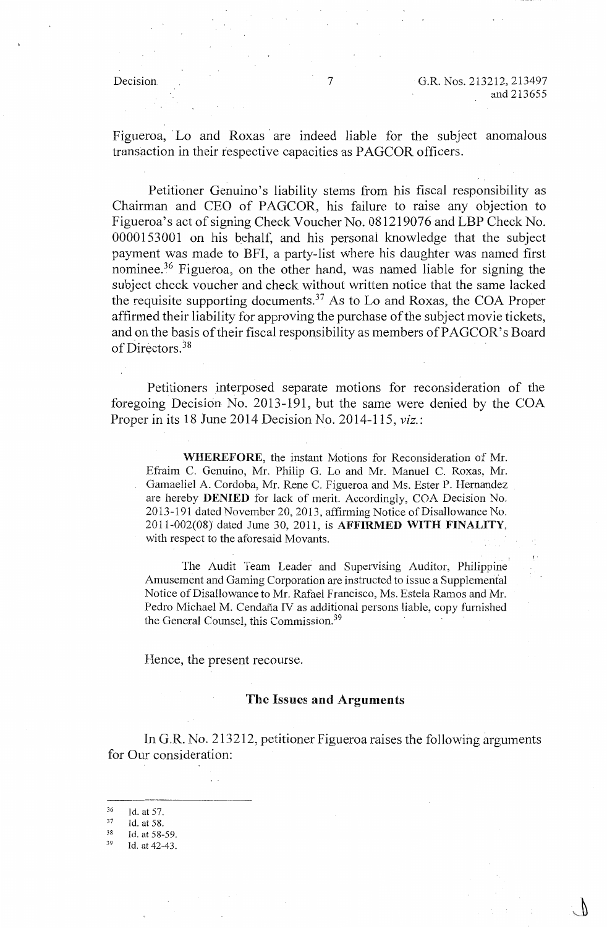j<br>j

Figueroa, Lo and Roxas are indeed liable for the subject anomalous transaction in their respective capacities as PAGCOR officers.

Petitioner Genuino's liability stems from his fiscal responsibility as Chairman and CEO of PAGCOR, his failure to raise any objection to Figueroa's act of signing Check Voucher No. 081219076 and LBP Check No. 0000153001 on his behalf, and his personal knowledge that the subject payment was made to BFI, a party-list where his daughter was named first nominee.<sup>36</sup> Figueroa, on the other hand, was named liable for signing the subject check voucher and check without written notice that the same lacked the requisite supporting documents.<sup>37</sup> As to Lo and Roxas, the COA Proper affirmed their liability for approving the purchase of the subject movie tickets, and on the basis of their fiscal responsibility as members of PAGCOR's Board of Directors. 38

Petitioners interposed separate motions for reconsideration of the foregoing Decision No. 2013-191, but the same were denied by the COA Proper in its 18 June 2014 Decision No. 2014-115, *viz.:* 

**WHEREFORE,** the instant Motions for Reconsideration of Mr. Efraim C. Genuino, Mr. Philip G. Lo and Mr. Manuel C. Roxas, Mr. Gamaeliel A. Cordoba, Mr. Rene C. Figueroa and Ms. Ester P. Hernandez are hereby **DENIED** for lack of merit. Accordingly, COA Decision No. 2013-191 dated November 20, 2013, affirming Notice of Disallowance No. 2011-002(08) dated June 30, 2011, is **AFFIRMED WITH FINALITY,**  with respect to the aforesaid Movants.

The Audit Team Leader and Supervising Auditor, Philippine· Amusement and Gaming Corporation are instructed to issue a Supplemental Notice of Disallowance to Mr. Rafael Francisco, Ms. Estela Ramos and Mr. Pedro Michael M. Cendaña IV as additional persons liable, copy furnished the General Counsel, this Commission.<sup>39</sup>

Hence, the present recourse.

### **The Issues and Arguments**

In G,R. No. 213212, petitioner Figueroa raises the following arguments for Our consideration:

<sup>36</sup>  Id. at 57.

<sup>37</sup>  Id. at 58.

<sup>38</sup>  Id. at 58-59.

<sup>39</sup>  Id. at 42-43.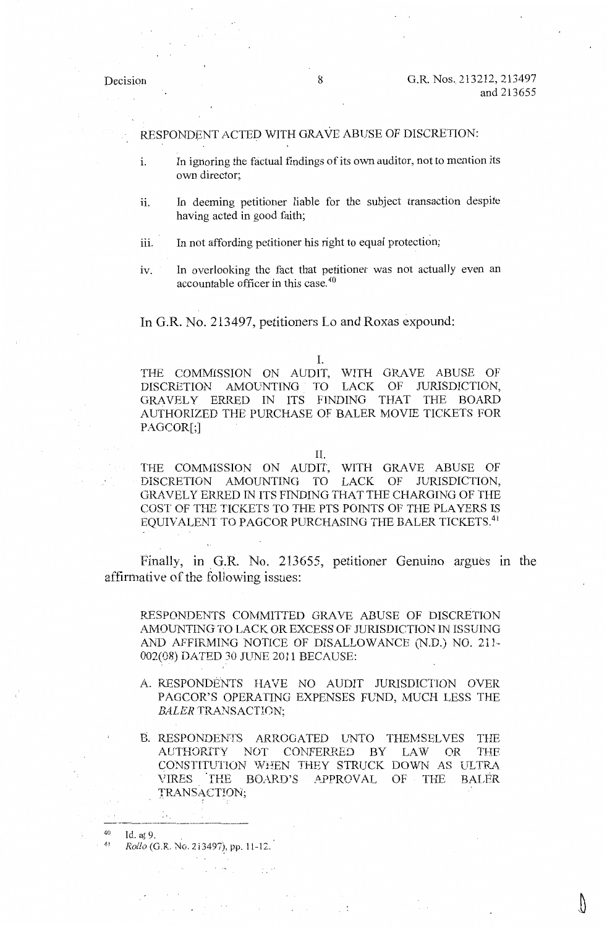RESPONDENT ACTED WITH GRAVE ABUSE OF DISCRETION:

- 1. In ignoring the factual findings of its own auditor, not to mention its own director;
- ii. In deeming petitioner liable for the subject transaction despite having acted in good faith;
- iii. In not affording petitioner his right to equal protection;
- iv. In overlooking the fact that petitioner was not actually even an accountable officer in this case. 40

In G.R. No. 213497, petitioners Lo and Roxas expound:

I.

THE COMMISSION ON AUDIT, WITH GRAVE ABUSE OF DISCRETION AMOUNTING TO LACK OF JURISDICTION, GRAVELY ERRED IN ITS FINDING THAT THE BOARD AUTHORIZED THE PURCHASE OF BALER MOVIE TICKETS FOR PAGCOR[;]

II.

THE COMMISSION ON AUDIT, WITH GRAVE ABUSE OF DISCRETION AMOUNTING TO LACK OF JURISDICTION, GRAVELY ERRED IN ITS FINDING THAT THE CHARGING OF THE COST OF THE TICKETS TO THE PTS POINTS OF THE PLAYERS IS EQUIVALENT TO PAGCOR PURCHASING THE BALER TICKETS.<sup>41</sup>

Finally, in G.R. No. 213655, petitioner Genuino argues in the affirmative of the following issues:

RESPONDENTS COMMITTED GRAVE ABUSE OF DISCRETION AMOUNTING TO LACK OR EXCESS OF JURISDICTION IN ISSUING AND AFFIRMING NOTICE OF DISALLOW ANCE (N.D.) NO. 211- 002(08) DATED 30 JUNE 2011 BECAUSE:

- A. RESPONDENTS HAVE NO AUDIT JURISDICTION OVER PAGCOR'S OPERATING EXPENSES FUND, MUCH LESS THE *BALER* TRANSACTION;
- B. RESPONDENTS ARROGATED UNTO THEMSELVES THE AUTHORITY NOT CONFERRED BY LAW OR THE CONSTITUTION 'WHEN THEY STRUCK DOWN AS ULTRA VIRES THE BOARD'S APPROVAL OF THE BALER TRANSACTION;

40 Id. at 9. 41 *Rollo* (G.R. No. 213497), pp. l l-12.

 $\sim$   $\sim$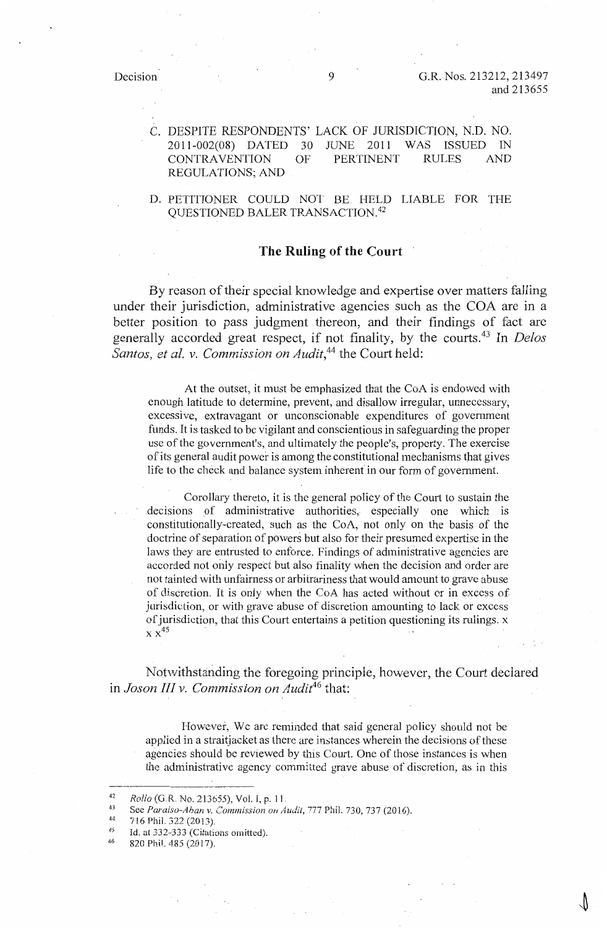Decision 9 G.R. Nos. 213212, 213497 and 213655

C. DESPITE RESPONDENTS' LACK OF JURISDICTION, N.D. NO. 2011-002(08) DATED 30 JUNE 2011 WAS ISSUED IN CONTRAVENTION OF PERTINENT RULES AND REGULATIONS; AND

D. PETITIONER COULD NOT BE HELD LIABLE FOR THE QUESTIONED BALER TRANSACTION.<sup>42</sup>

## **The Ruling of the Court**

By reason of their special knowledge and expertise over matters falling under their jurisdiction, administrative agencies such as the COA are **in** a better position to pass judgment thereon, and their findings of fact are generally accorded great respect, if not finality, by the courts.43 In *Delos Santos, et al. v. Commission on Audit,44* the Court held:

At the outset, it must be emphasized that the CoA is endowed with enough latitude to determine, prevent, and disallow irregular, unnecessary, excessive, extravagant or unconscionable expenditures of government funds. It is tasked to be vigilant and conscientious **in** safeguarding the proper use of the government's, and ultimately the people's, property. The exercise of its general audit power is among the constitutional mechanisms that gives life to the check and balance system inherent in our form of government.

Corollary thereto, it is the general policy of the Court to sustain the .decisions of administrative authorities, especially one which is constitutionally-created, such as the CoA, not only on the basis of the doctrine of separation of powers but also for their presumed expertise in the laws they are entrusted to enforce. Findings of administrative agencies are accorded not only respect but also finality when the decision and order are not tainted with unfairness or arbitrariness that would amount to grave abuse of discretion. It is only when the CoA has acted without or in excess of jurisdiction, or with grave abuse of discretion amounting to lack or excess of jurisdiction, that this Court entertains a petition questioning its rulings. x  $\times \times^{45}$ 

Notwithstanding the foregoing principle, however, the Court declared **in** *Jason III v. Commission on Audit46* that:

However, We are reminded that said general policy should not be applied in a straitjacket as there are instances wherein the decisions of these agencies should be reviewed by this Court. One of those instances is when the administrative agency committed grave abuse of discretion, as in this

46 820 Phil. 485 (2017).

<sup>42</sup>  *Rollo* (G.R. No. 213655), Vol. I, p. 11

<sup>43</sup>  See *Paraiso-Aban v. Commission on Audit*, 777 Phil. 730, 737 (2016).

<sup>44</sup>  716 Phil. 322 (2013),

<sup>45</sup>  Id. at 332-333 (Citations omitted).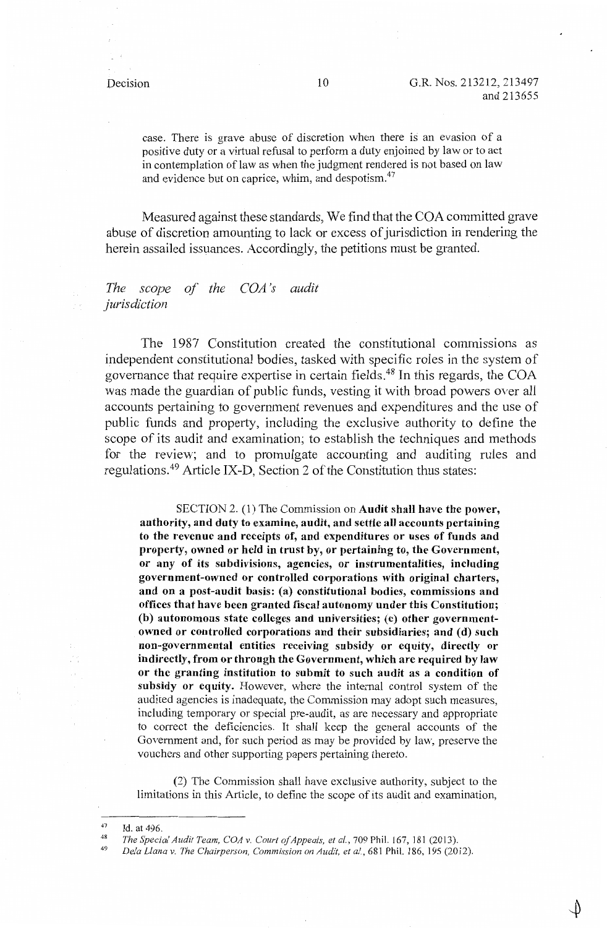case. There is grave abuse of discretion when there is an evasion of a positive duty or a virtual refusal to perform a duty enjoined by law or to act in contemplation of law as when the judgment rendered is not based on law and evidence but on caprice, whim, and despotism.<sup>47</sup>

Measured against these standards, We find that the COA committed grave abuse of discretion amounting to lack or excess of jurisdiction in rendering the herein assailed issuances. Accordingly, the petitions must be granted.

## *The scope of the COA 's audit jurisdiction*

The 1987 Constitution created the constitutional commissions as independent constitutional bodies, tasked with specific roles in the system of governance that require expertise in certain fields.<sup>48</sup> In this regards, the COA was made the guardian of public funds, vesting it with broad powers over all accounts pertaining to government revenues and expenditures and the use of public funds and property, including the exclusive authority to define the scope of its audit and examination; to establish the techniques and methods for the review; and to promulgate accounting and auditing rules and regulations. 49 Article IX-D, Section 2 of the Constitution thus states:

SECTION 2. (1) The Commission on **Audit shall have the power, authority, and duty to examine, audit, and settle all accounts pertaining to the revenue and receipts of, and expenditures or uses of funds and property, owned or held in trust by, or pertaining to, the Government, or any of its subdivisions, agencies, or instrumentalities, including government-owned or controlled corporations with original charters, and on a post-audit basis: (a) constitutional bodies, commissions and offices that have been granted fiscal autonomy under this Constitution; (b) autonomous state colleges and universities;** (c) **other governmentowned or controlled corporations and their subsidiaries; and** ( **d) such non-governmental entities receiving subsidy or equity, directly or indirectly, from or through the Government, which are required by law or the granting institution to submit to such audit as a condition of subsidy or equity.** However, where the internal control system of the audited agencies is inadequate, the Commission may adopt such measures, including temporary or special pre-audit, as are necessary and appropriate to correct the deficiencies. It shall keep the general accounts of the Government and, for such period as may be provided by law, preserve the vouchers and other supporting papers pertaining thereto.

(2) The Commission shall have exclusive authority, subject to the limitations in this Article, to define the scope of its audit and examination,

<sup>47</sup>  Id. at 496.

<sup>48</sup>  *The Special Audit Team, COA v. Court of Appeals, et al., 709 Phil. 167, 181 (2013).* 

<sup>49</sup>  *Dela Liana v. The Chairperson, Commission on Audit, et al.,* 681 Phil. 186, 195 (2012).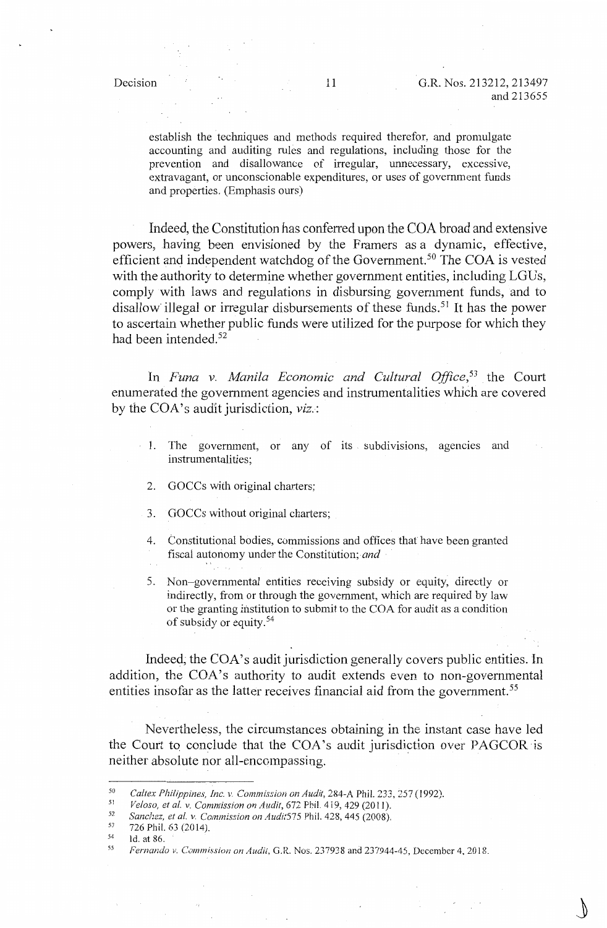establish the techniques and methods required therefor, and promulgate accounting and auditing rules and regulations, including those for the prevention and disallowance of irregular, unnecessary, excessive, extravagant, or unconscionable expenditures, or uses of government funds and properties. (Emphasis ours)

Indeed, the Constitution has conferred upon the COA broad and extensive powers, having been envisioned by the Framers as a dynamic, effective, efficient and independent watchdog of the Government.<sup>50</sup> The COA is vested with the authority to determine whether government entities, including LGUs, comply with laws and regulations in disbursing government funds, and to disallow illegal or irregular disbursements of these funds.<sup>51</sup> It has the power to ascertain whether public funds were utilized for the purpose for which they had been intended.<sup>52</sup>

In *Funa v. Manila Economic and Cultural Office*,<sup>53</sup> the Court enumerated the government agencies and instrumentalities which are covered by the COA's audit jurisdiction, *viz*.:

- 1. The government, or any of its subdivisions, agencies and instrumentalities;
	- 2. GOCCs with original charters;
	- 3. GOCCs without original charters;
	- 4. Constitutional bodies, commissions and offices that have been granted fiscal autonomy under the Constitution; *and*
	- 5. Non-governmental entities receiving subsidy or equity, directly or indirectly, from or through the government, which are required by law or the granting institution to submit to the COA for audit as a condition of subsidy or equity. 54

Indeed; the COA's audit jurisdiction generally covers public entities. In addition, the COA's authority to audit extends even to non-governmental entities insofar as the latter receives financial aid from the government.<sup>55</sup>

Nevertheless, the circumstances obtaining in the instant case have led the Court to conclude that the COA's audit jurisdiction over PAGCOR is neither absolute nor all-encompassing.

- 53 726 Phil. 63 (2014).
- 54 55 ld. at 86.

<sup>50</sup>  *Caltex Philippines, Inc. v. Commission on Audit,* 284-A Phil. *233,257* (1992).

<sup>5]</sup>  *Veloso, et al. v. Commission on Audit, 672 Phil. 419, 429 (2011).* 

<sup>52</sup>  *Sanchez, et al. v, Commission on Audi:575* Phil. 428, 445 (2008),

*Fernando v. Commission on Audit*, G.R. Nos. 237938 and 237944-45, December 4, 2018.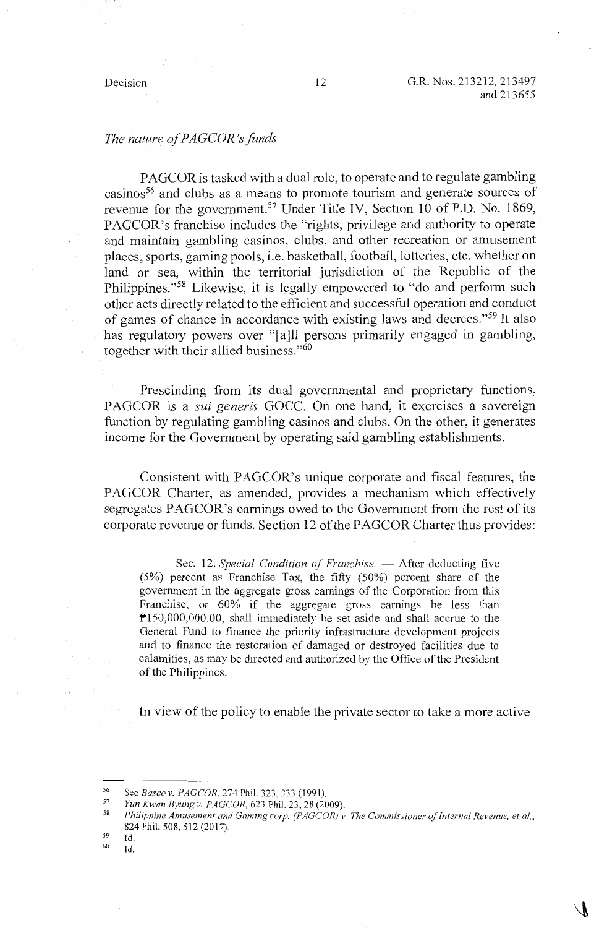# *The nature of PAGCOR <sup>1</sup> s funds*

PAGCOR is tasked with a dual role, to operate and to regulate gambling casinos<sup>56</sup> and clubs as a means to promote tourism and generate sources of revenue for the government.<sup>57</sup> Under Title IV, Section 10 of P.D. No. 1869, PAGCOR's franchise includes the "rights, privilege and authority to operate and maintain gambling casinos, clubs, and other recreation or amusement places, sports, gaming pools, i.e. basketball, football, lotteries, etc. whether on land or sea, within the territorial jurisdiction of the Republic of the Philippines."58 Likewise, it is legally empowered to "do and perform such other acts directly related to the efficient and successful operation and conduct of games of chance in accordance with existing laws and decrees."59 It also has regulatory powers over "[a]ll persons primarily engaged in gambling, together with their allied business."<sup>60</sup>

Prescinding from its dual governmental and proprietary functions, PAGCOR is a *sui generis* GOCC. On one hand, it exercises a sovereign function by regulating gambling casinos and clubs. On the other, it generates income for the Government by operating said gambling establishments.

Consistent with PAGCOR's unique corporate and fiscal features, the PAGCOR Charter, as amended, provides a mechanism which effectively segregates PAGCOR's earnings owed to the Government from the rest of its corporate revenue or funds. Section 12 of the PAGCOR Charter thus provides:

Sec. 12. *Special Condition of Franchise*. - After deducting five (5%) percent as Franchise Tax, the fifty (50%) percent share of the government in the aggregate gross earnings of the Corporation from this Franchise, or 60% if the aggregate gross earnings be less than P150,000,000.00, shall immediately be set aside and shall accrue to the General Fund to finance the priority infrastructure development projects and to finance the restoration of damaged or destroyed facilities due to calamities, as may be directed and authorized by the Office of the President of the Philippines.

In view of the policy to enable the private sector to take a more active

- 59 60 Id.
- Id.

<sup>56</sup>  See *Basco v. PAGCOR*, 274 Phil. 323, 333 (1991).

<sup>57</sup>  *Yun Kwan Byungv. PAGCOR,* 623 Phil. 23, 28 (2009).

<sup>58</sup>  *Philippine Amusement and Gaming corp. (PAGCOR) v. The Commissioner of Internal Revenue, et al.,*  824 Phil. 508, 512 (2017).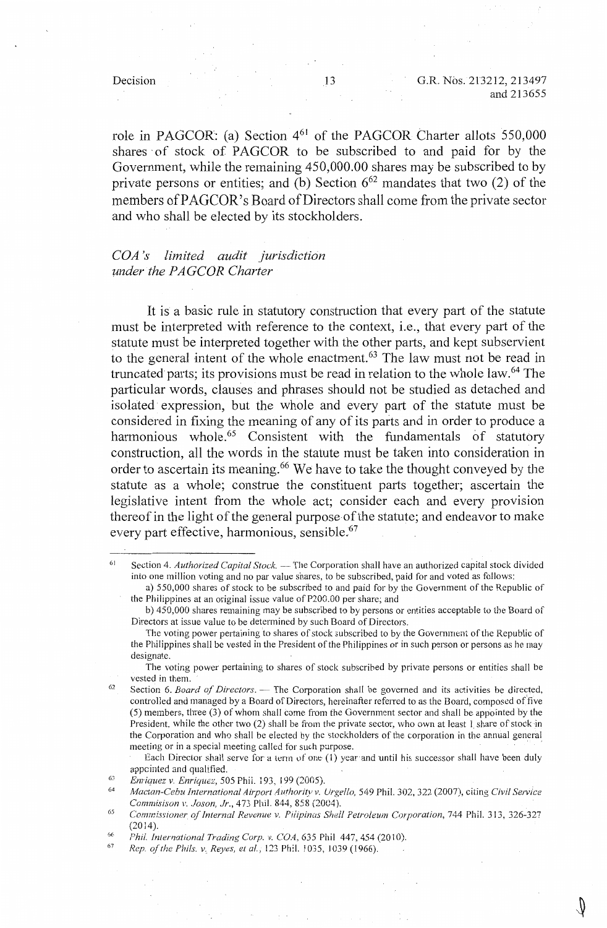role in PAGCOR: (a) Section  $4^{61}$  of the PAGCOR Charter allots 550,000 shares of stock of PAGCOR to be subscribed to and paid for by the Government, while the remaining 450,000.00 shares may be subscribed to by private persons or entities; and (b) Section  $6^{62}$  mandates that two (2) of the members of PAGCOR's Board of Directors shall come from the private sector and who shall be elected by its stockholders.

# *COA* 's *limited audit jurisdiction µnder the PA GCOR Charter*

It is a basic rule in statutory construction that every part of the statute must be interpreted with reference to the context, i.e., that every part of the statute must be interpreted together with the other parts, and kept subservient to the general intent of the whole enactment.<sup>63</sup> The law must not be read in truncated parts; its provisions must be read in relation to the whole law.<sup>64</sup> The particular words, clauses and phrases should not be studied as detached and isolated expression, but the whole and every part of the statute must be considered in fixing the meaning of any of its parts and in order to produce a harmonious whole.<sup>65</sup> Consistent with the fundamentals of statutory construction, all the words in the statute must be taken into consideration in order to ascertain its meaning. 66 We have to take the thought conveyed by the statute as a whole; construe the constituent parts together; ascertain the legislative intent from the whole act; consider each and every provision thereof in the light of the general purpose-of the statute; and endeavor to make every part effective, harmonious, sensible.<sup>67</sup>

Each Director shall serve for a term of one (1) year and until his successor shall have been duly appcinted and qualified.

<sup>61</sup>  Section 4. Authorized Capital Stock. -- The Corporation shall have an authorized capital stock divided into one million voting and no par value shares, to be subscribed, paid for and voted as follows:

a) 550,000 shares of stock to be subscribed to and paid for by the Government of the Republic of the Philippines at an original issue value of P200.00 per share; and

b) 450,000 shares remaining may be subscribed to by persons or entities acceptable to the Board of Directors at issue value to be determined by such Board of Directors.

The voting power pertaining to shares of stock subscribed to by the Government of the Republic of the Philippines shall be vested in the President of the Philippines or in such person or persons as he may designate.

The voting power pertaining to shares of stock subscribed by private persons or entities shall be vested in them.

<sup>62</sup>  Section 6. *Board of Directors*. — The Corporation shall be governed and its activities be directed, controlled and managed by a Board of Directors, hereinafter referred to as the Board, composed or'five (5) members, three (3) of whom shall come from fhe Government sector and shall be appointed by the President, while the other two (2) shall be from the private sector, who own at least 1 share of stock in the Corporation and who shall be elected by the stockholders of the corporation in the annual general meeting or in a special meeting called for such purpose.

<sup>6</sup>J *Enriquez v. Enriquez,* 505 Phil. 193, 199 (2005).

<sup>64</sup>  *Mactan-Cebu International Airport Authority v. Urge/lo,* 549 Phil. 302, 322 (2007), citing *Civil Service Commisison v. Jason, Jr.,* 473 Phil. 844, 858 (2004).

<sup>65</sup>  Commissioner of Internal Revenue v. Pilipinas Shell Petroleum Corporation, 744 Phil. 313, 326-327  $(2014)$ .

<sup>66</sup>  *Phii. International Trading Corp.* v. *COA,* 635 Phil 447,454 (2010).

<sup>67</sup>  *Rep. of the Phils. v<sub>;</sub> Reyes, et al.*, 123 Phil. 1035, 1039 (1966).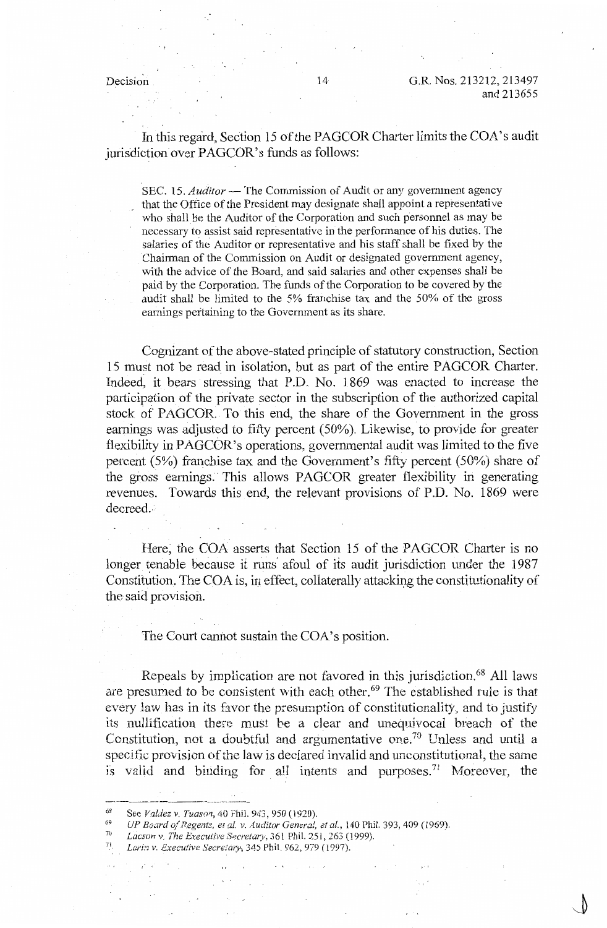In this regard, Section 15 of the PAGCOR Charter limits the COA's audit jurisdiction over PAGCOR's funds as follows:

SEC. 15. *Auditor* - The Commission of Audit or any government agency that the Office of the President may designate shall appoint a representative who shall be the Auditor of the Corporation and such personnel as may be necessary to assist said representative in the performance of his duties. The salaries of the Auditor or representative and his staff shall be fixed by the Chairman of the Commission on Audit or designated government agency, with the advice of the Board, and said salaries and other expenses shall be paid by the Corporation. The funds of the Corporation to be covered by the audit shall be limited to the 5% franchise tax and the 50% of the gross earnings pertaining to the Government as its share.

Cognizant of the above-stated principle of statutory construction, Section 15 must not be read in isolation, but as part of the entire PAGCOR Charter. Indeed, it bears stressing that P.D. No. 1869 was enacted to increase the participation of the private sector in the subscription of the authorized capital stock of PAGCOR. To this end, the share of the Government in the gross earnings was adjusted to fifty percent (50%). Likewise, to provide for greater flexibility in PAGCOR's operations, governmental audit was limited to the five percent (5%) franchise tax and the Government's fifty percent (50%) share of the gross earnings. This allows PAGCOR greater flexibility in generating revenues. Towards this end, the relevant provisions of P.D. No. 1869 were decreed.

Here; the COA asserts that Section 15 of the PAGCOR Charter is no longer tenable because it runs afoul of its audit jurisdiction under the 1987 Constitution. The COA is, in effect, collaterally attacking the constitutionality of the said provision.

The Court cannot sustain the COA's position.

Repeals by implication are not favored in this jurisdiction. 68 All laws are presumed to be consistent with each other.<sup>69</sup> The established rule is that every law has in its favor the presumption of constitutionality, and to justify its nullification there must be a clear and unequivocal breach of the Constitution, not a doubtful and argumentative one.<sup>70</sup> Unless and until a specific provision of the law is declared invalid and unconstitutional, the same is valid and binding for all intents and purposes.<sup>71</sup> Moreover, the

<sup>68</sup>  See *Valdez v. Tuason*, 40 Phil. 943, 950 (1920).

<sup>69</sup>  *UP Board of Regents, et al. v. Auditor General, et al., 140 Phil. 393, 409 (1969).* 

<sup>70</sup>  *Lacsnn* v. *The Execuiive Secretaiy,* 361 Phil. 251, *263* (1999).

<sup>71.</sup>  Larin v. Executive Secretary, 345 Phil. 962, 979 (1997).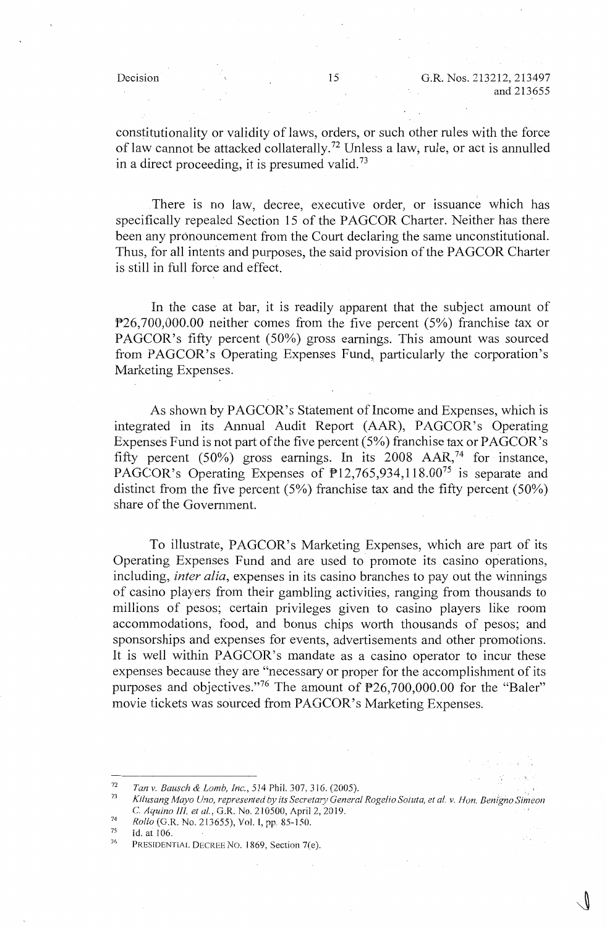constitutionality or validity of laws, orders, or such other rules with the force of law cannot be attacked collaterally.<sup>72</sup> Unless a law, rule, or act is annulled in a direct proceeding, it is presumed valid.<sup>73</sup>

There is no law, decree, executive order, or issuance which has specifically repealed Section 15 of the PAGCOR Charter. Neither has there been any pronouncement from the Court declaring the same unconstitutional. Thus, for all intents and purposes, the said provision of the **PAGCOR** Charter is still in full force and effect.

In the case at bar, it is readily apparent that the subject amount of P26,700,000.00 neither comes from the five percent (5%) franchise tax or PAGCOR's fifty percent (50%) gross earnings. This amount was sourced from PAGCOR's Operating Expenses Fund, particularly the corporation's Marketing Expenses.

As shown by PAGCOR's Statement of Income and Expenses, which is integrated in its Annual Audit Report (AAR), PAGCOR's Operating Expenses Fund is not part of the five percent (5%) franchise tax or PAGCOR's fifty percent (50%) gross earnings. In its 2008  $AAR<sub>1</sub><sup>74</sup>$  for instance, PAGCOR's Operating Expenses of  $\overline{P}$ 12,765,934,118.00<sup>75</sup> is separate and distinct from the five percent (5%) franchise tax and the fifty percent (50%) share of the Government.

To illustrate, PAGCOR's Marketing Expenses, which are part of its Operating Expenses Fund and are used to promote its casino operations, including, *inter alia,* expenses in its casino branches to pay out the winnings of casino players from their gambling activities, ranging from thousands to millions of pesos; certain privileges given to casino players like room accommodations, food, and bonus chips worth thousands of pesos; and sponsorships and expenses for events, advertisements and other promotions. It is well within PAGCOR's mandate as a casino operator to incur these expenses because they are "necessary or proper for the accomplishment of its purposes and objectives."<sup>76</sup> The amount of  $P26,700,000.00$  for the "Baler" movie tickets was sourced from PAGCOR's Marketing Expenses.

- 74 *Rollo* (G.R. No. 213655), Vol. I, pp. 85-150.
- 75 Id. at 106.

<sup>72</sup>  *Tan v. Bausch & Lomb, Inc.,* 514 Phil. 307,316. (2005).

<sup>73</sup>  *Kilusang Mayo U.'lo, represented by its Secreta,y General Rogelio Soluta, et al. v. Hon. Bemgno Simeon*  C. *Aquino III. et al.,* G .R. No. 210500, April 2, 2019.

 $7<sub>6</sub>$ PRESIDENTIAL DECREE No. I 869, Section 7(e).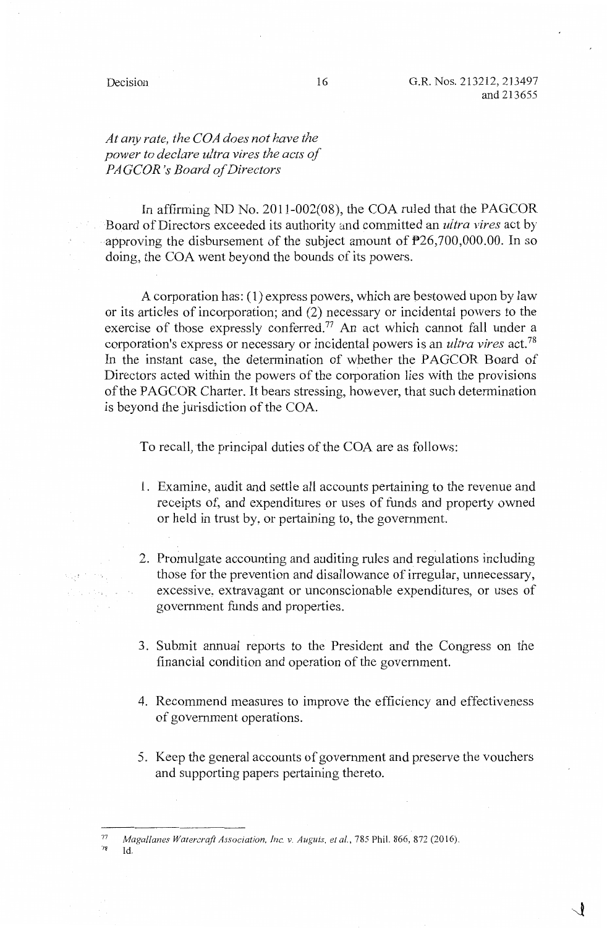# *At any rate, the COA does not have the power to declare ultra vires the acts of PAGCOR's Board of Directors*

In affirming ND No. 2011-002(08), the COA ruled that the PAGCOR Board of Directors exceeded its authority and committed an *ultra vires* act by approving the disbursement of the subject amount of  $P26,700,000.00$ . In so doing, the COA went beyond the bounds of its powers.

A corporation has: ( 1) express powers, which are bestowed upon by law or its articles of incorporation; and (2) necessary or incidental powers to the exercise of those expressly conferred.<sup>77</sup> An act which cannot fall under a corporation's express or necessary or incidental powers is an *ultra vires* act.<sup>78</sup> In the instant case, the determination of whether the PAGCOR Board of Directors acted within the powers of the corporation lies with the provisions of the PAGCOR Charter. It bears stressing, however, that such determination is beyond the jurisdiction of the COA.

To recall, the principal duties of the COA are as follows:

- 1. Examine, audit and settle all accounts pertaining to the revenue and receipts of, and expenditures or uses of funds and property owned or held in trust by, or pertaining to, the government.
- 2. Promulgate accounting and auditing rules and regulations including those for the prevention and disallowance of irregular, unnecessary, excessive, extravagant or unconscionable expenditures, or uses of government funds and properties.
- 3. Submit annual reports to the President and the Congress on the financial condition and operation of the government.
- 4. Recommend measures to improve the efficiency and effectiveness of government operations.
- 5. Keep the general accounts of government and preserve the vouchers and supporting papers pertaining thereto.

Id.

 $\sim$   $\sim$ 

Sales States Co.

<sup>&</sup>lt;sup>77</sup> Magallanes Watercraft Association, Inc. v. Auguis, et al., 785 Phil. 866, 872 (2016).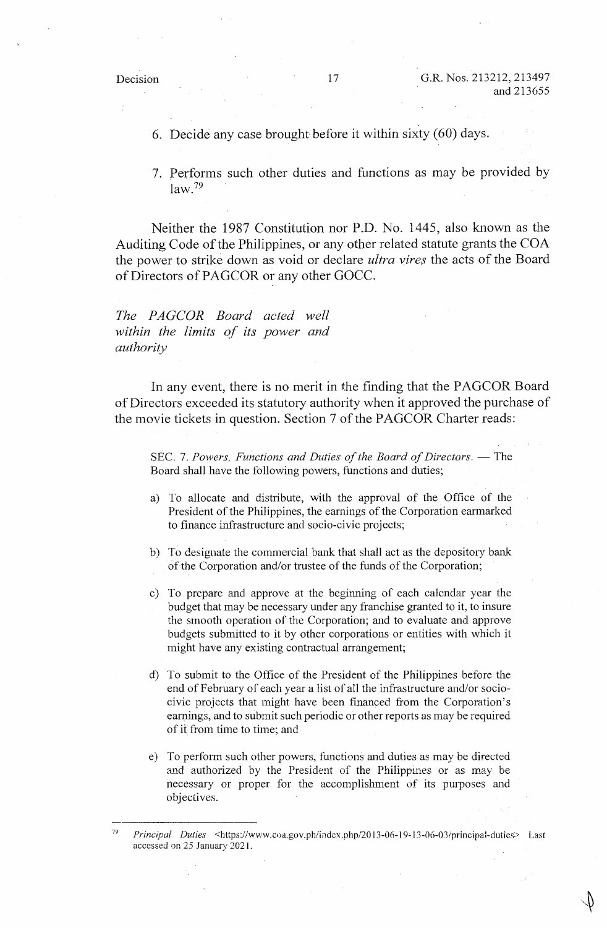6. Decide any case brought before it within sixty (60) days.

7. Performs such other duties and functions as may be provided by  $law<sup>79</sup>$ 

Neither the 1987 Constitution nor P.D. No. 1445, also known as the Auditing Code of the Philippines, or any other related statute grants the COA the power to strike down as void or declare *ultra vires* the acts of the Board of Directors of PAGCOR or any other GOCC.

*The PAGCOR Board acted well within the limits of its power and authority* 

In any event, there is no merit in the finding that the PAGCOR Board of Directors exceeded its statutory authority when it approved the purchase of the movie tickets in question. Section 7 of the PAGCOR Charter reads:

SEC. 7. Powers, Functions and Duties of the Board of Directors. - The Board shall have the following powers, functions and duties;

- a) To allocate and distribute, with the approval of the Office of the President of the Philippines, the earnings of the Corporation earmarked to finance infrastructure and socio-civic projects;
- b) To designate the commercial bank that shall act as the depository bank of the Corporation and/or trustee of the funds of the Corporation;
- c) To prepare and approve at the beginning of each calendar year the budget that may be necessary under any franchise granted to it, to insure the smooth operation of the Corporation; and to evaluate and approve budgets submitted to it by other corporations or entities with which it might have any existing contractual arrangement;
- d) To submit to the Office of the President of the Philippines before the end of February of each year a list of all the infrastructure and/or sociocivic projects that might have been financed from the Corporation's earnings, and to submit such periodic or other reports as may be required of it from time to time; and
- e) To perform such other powers, functions and duties as may be directed and authorized by the President of the Philippmes or as may be necessary or proper for the accomplishment of its purposes and objectives.

<sup>79</sup>  Principal Duties <https://www.coa.gov.ph/index.php/2013-06-19-13-06-03/principal-duties> Last accessed on 25 January 2021.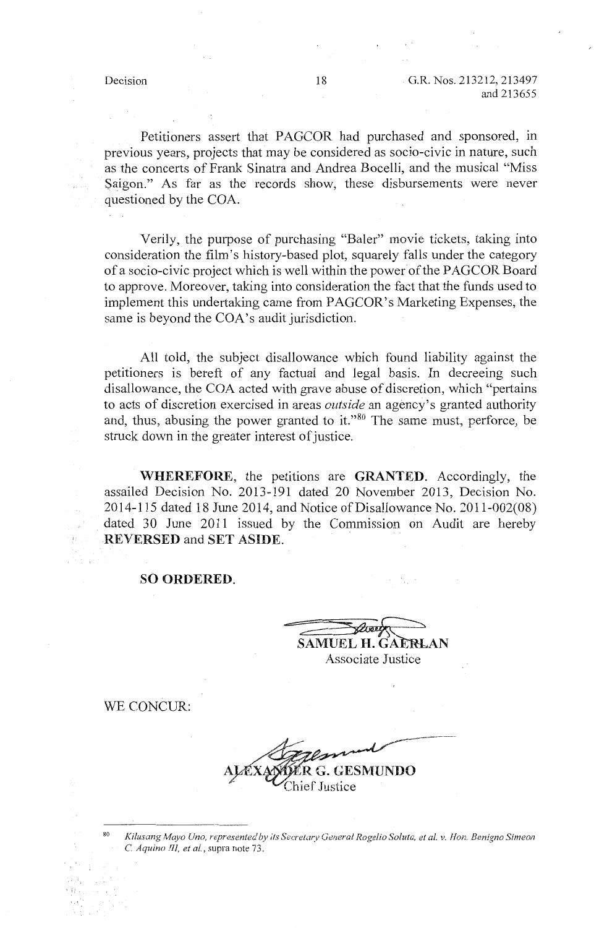Petitioners assert that PAGCOR had purchased and sponsored, in previous years, projects that may be considered as socio-civic in nature, such as the concerts of Frank Sinatra and Andrea Bocelli, and the musical "Miss Saigon." As far as the records show, these disbursements were never questioned by the COA.

Verily, the purpose of purchasing "Baler" movie tickets, taking into consideration the film's history-based plot, squarely falls under the category of a socio-civic project which is well within the power of the PAGCOR Board to approve. Moreover, taking into consideration the fact that the funds used to implement this undertaking came from PAGCOR's Marketing Expenses, the same is beyond the COA's audit jurisdiction.

All told, the subject disallowance which found liability against the petitioners is bereft of any factual and legal basis. In decreeing such disallowance, the COA acted with grave abuse of discretion, which "pertains to acts of discretion exercised in areas *outside* an agency's granted authority and, thus, abusing the power granted to it." $80$  The same must, perforce, be struck down in the greater interest of justice.

**WHEREFORE,** the petitions are **GRANTED.** Accordingly, the assailed Decision No. 2013-191 dated 20 November 2013, Decision No. 2014-115 dated 18 June 2014, and Notice of Disallowance No. 2011-002(08) dated 30 June 2011 issued by the Commission on Audit are hereby **REVERSED** and **SET ASIDE.** 

**SO ORDERED.** 

 $\overbrace{$ SAMUEL H. GAERLAN Associate Justice

WE CONCUR

**IUNDO** 

`Justice

8 Kilusang Mayo Uno, represented by its Secretary General Rogelio Soluta, et al. v. Hon. Benigno Simeor C. *Aquino III, et al.,* supra note 73.